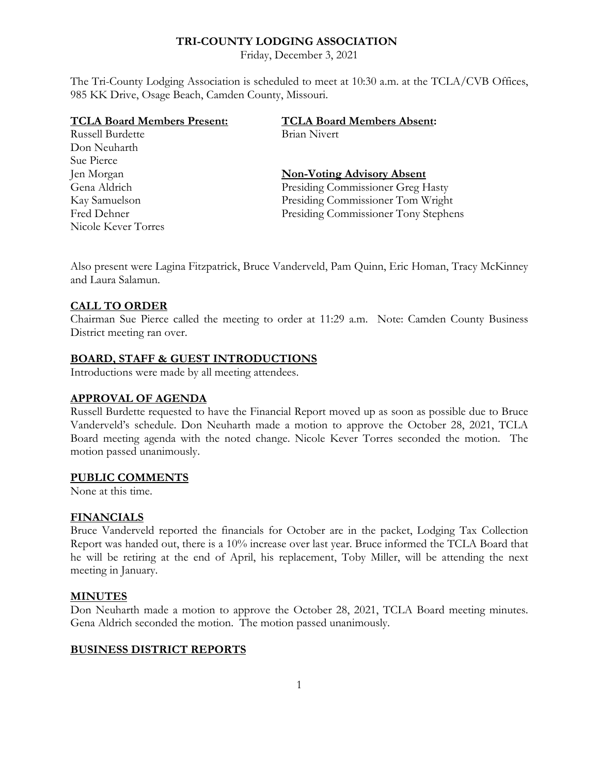# **TRI-COUNTY LODGING ASSOCIATION**

Friday, December 3, 2021

The Tri-County Lodging Association is scheduled to meet at 10:30 a.m. at the TCLA/CVB Offices, 985 KK Drive, Osage Beach, Camden County, Missouri.

| <b>TCLA Board Members Present:</b> | <b>TCLA Board Members Absent:</b>    |
|------------------------------------|--------------------------------------|
| Russell Burdette                   | Brian Nivert                         |
| Don Neuharth                       |                                      |
| Sue Pierce                         |                                      |
| Jen Morgan                         | <b>Non-Voting Advisory Absent</b>    |
| Gena Aldrich                       | Presiding Commissioner Greg Hasty    |
| Kay Samuelson                      | Presiding Commissioner Tom Wright    |
| Fred Dehner                        | Presiding Commissioner Tony Stephens |
| Nicole Kever Torres                |                                      |

Also present were Lagina Fitzpatrick, Bruce Vanderveld, Pam Quinn, Eric Homan, Tracy McKinney and Laura Salamun.

# **CALL TO ORDER**

Chairman Sue Pierce called the meeting to order at 11:29 a.m. Note: Camden County Business District meeting ran over.

# **BOARD, STAFF & GUEST INTRODUCTIONS**

Introductions were made by all meeting attendees.

#### **APPROVAL OF AGENDA**

Russell Burdette requested to have the Financial Report moved up as soon as possible due to Bruce Vanderveld's schedule. Don Neuharth made a motion to approve the October 28, 2021, TCLA Board meeting agenda with the noted change. Nicole Kever Torres seconded the motion. The motion passed unanimously.

#### **PUBLIC COMMENTS**

None at this time.

#### **FINANCIALS**

Bruce Vanderveld reported the financials for October are in the packet, Lodging Tax Collection Report was handed out, there is a 10% increase over last year. Bruce informed the TCLA Board that he will be retiring at the end of April, his replacement, Toby Miller, will be attending the next meeting in January.

#### **MINUTES**

Don Neuharth made a motion to approve the October 28, 2021, TCLA Board meeting minutes. Gena Aldrich seconded the motion. The motion passed unanimously.

#### **BUSINESS DISTRICT REPORTS**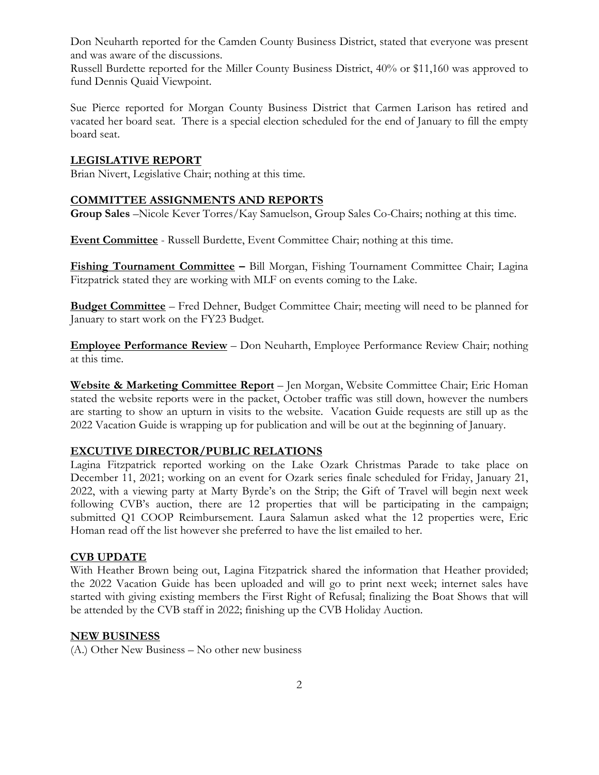Don Neuharth reported for the Camden County Business District, stated that everyone was present and was aware of the discussions.

Russell Burdette reported for the Miller County Business District, 40% or \$11,160 was approved to fund Dennis Quaid Viewpoint.

Sue Pierce reported for Morgan County Business District that Carmen Larison has retired and vacated her board seat. There is a special election scheduled for the end of January to fill the empty board seat.

# **LEGISLATIVE REPORT**

Brian Nivert, Legislative Chair; nothing at this time.

#### **COMMITTEE ASSIGNMENTS AND REPORTS**

**Group Sales** –Nicole Kever Torres/Kay Samuelson, Group Sales Co-Chairs; nothing at this time.

**Event Committee** - Russell Burdette, Event Committee Chair; nothing at this time.

**Fishing Tournament Committee –** Bill Morgan, Fishing Tournament Committee Chair; Lagina Fitzpatrick stated they are working with MLF on events coming to the Lake.

**Budget Committee** – Fred Dehner, Budget Committee Chair; meeting will need to be planned for January to start work on the FY23 Budget.

**Employee Performance Review** – Don Neuharth, Employee Performance Review Chair; nothing at this time.

**Website & Marketing Committee Report** – Jen Morgan, Website Committee Chair; Eric Homan stated the website reports were in the packet, October traffic was still down, however the numbers are starting to show an upturn in visits to the website. Vacation Guide requests are still up as the 2022 Vacation Guide is wrapping up for publication and will be out at the beginning of January.

# **EXCUTIVE DIRECTOR/PUBLIC RELATIONS**

Lagina Fitzpatrick reported working on the Lake Ozark Christmas Parade to take place on December 11, 2021; working on an event for Ozark series finale scheduled for Friday, January 21, 2022, with a viewing party at Marty Byrde's on the Strip; the Gift of Travel will begin next week following CVB's auction, there are 12 properties that will be participating in the campaign; submitted Q1 COOP Reimbursement. Laura Salamun asked what the 12 properties were, Eric Homan read off the list however she preferred to have the list emailed to her.

#### **CVB UPDATE**

With Heather Brown being out, Lagina Fitzpatrick shared the information that Heather provided; the 2022 Vacation Guide has been uploaded and will go to print next week; internet sales have started with giving existing members the First Right of Refusal; finalizing the Boat Shows that will be attended by the CVB staff in 2022; finishing up the CVB Holiday Auction.

#### **NEW BUSINESS**

(A.) Other New Business – No other new business